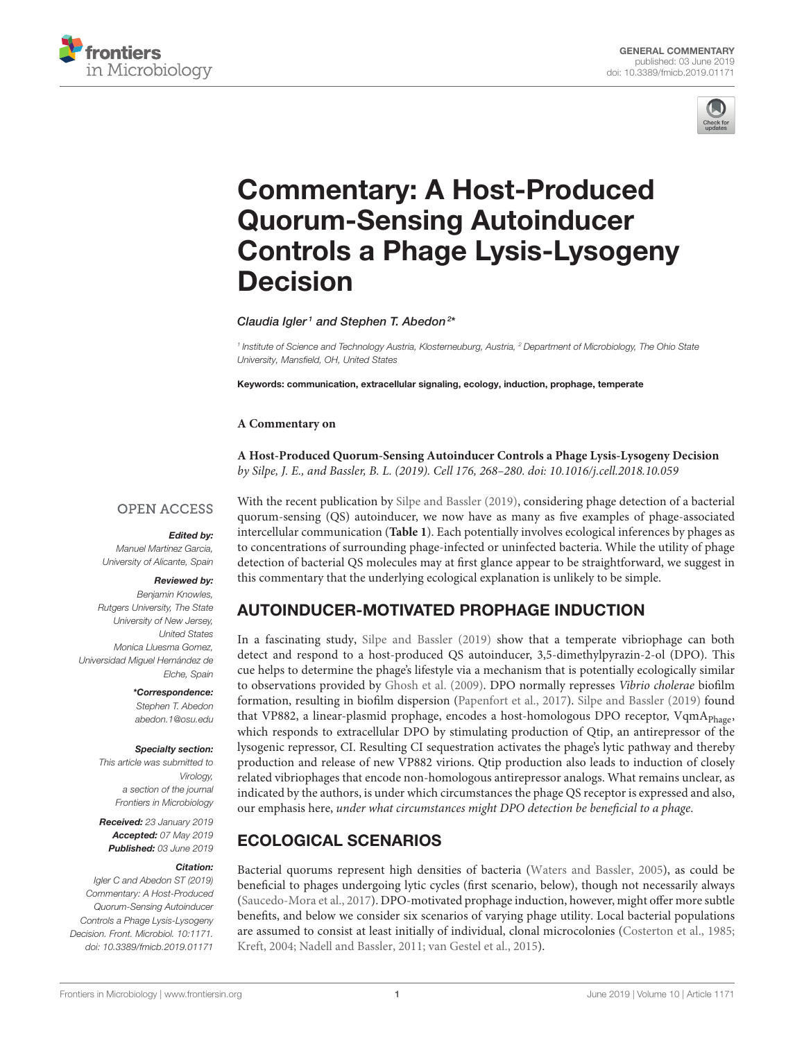



# Commentary: A Host-Produced Quorum-Sensing Autoinducer [Controls a Phage Lysis-Lysogeny](https://www.frontiersin.org/articles/10.3389/fmicb.2019.01171/full) Decision

[Claudia Igler](http://loop.frontiersin.org/people/675796/overview)<sup>1</sup> and [Stephen T. Abedon](http://loop.frontiersin.org/people/80037/overview)<sup>2\*</sup>

<sup>1</sup> Institute of Science and Technology Austria, Klosterneuburg, Austria, <sup>2</sup> Department of Microbiology, The Ohio State University, Mansfield, OH, United States

Keywords: communication, extracellular signaling, ecology, induction, prophage, temperate

#### **A Commentary on**

**A Host-Produced Quorum-Sensing Autoinducer Controls a Phage Lysis-Lysogeny Decision** by Silpe, J. E., and Bassler, B. L. (2019). Cell 176, 268–280. doi: [10.1016/j.cell.2018.10.059](https://doi.org/10.1016/j.cell.2018.10.059)

#### **OPEN ACCESS**

#### Edited by:

Manuel Martinez Garcia, University of Alicante, Spain

#### Reviewed by:

Benjamin Knowles, Rutgers University, The State University of New Jersey, United States Monica Lluesma Gomez, Universidad Miguel Hernández de Elche, Spain

> \*Correspondence: Stephen T. Abedon [abedon.1@osu.edu](mailto:abedon.1@osu.edu)

#### Specialty section:

This article was submitted to Virology, a section of the journal Frontiers in Microbiology

Received: 23 January 2019 Accepted: 07 May 2019 Published: 03 June 2019

#### Citation:

Igler C and Abedon ST (2019) Commentary: A Host-Produced Quorum-Sensing Autoinducer Controls a Phage Lysis-Lysogeny Decision. Front. Microbiol. 10:1171. doi: [10.3389/fmicb.2019.01171](https://doi.org/10.3389/fmicb.2019.01171)

With the recent publication by [Silpe and Bassler \(2019\)](#page-3-0), considering phage detection of a bacterial quorum-sensing (QS) autoinducer, we now have as many as five examples of phage-associated intercellular communication (**[Table 1](#page-1-0)**). Each potentially involves ecological inferences by phages as to concentrations of surrounding phage-infected or uninfected bacteria. While the utility of phage detection of bacterial QS molecules may at first glance appear to be straightforward, we suggest in this commentary that the underlying ecological explanation is unlikely to be simple.

### AUTOINDUCER-MOTIVATED PROPHAGE INDUCTION

In a fascinating study, [Silpe and Bassler \(2019\)](#page-3-0) show that a temperate vibriophage can both detect and respond to a host-produced QS autoinducer, 3,5-dimethylpyrazin-2-ol (DPO). This cue helps to determine the phage's lifestyle via a mechanism that is potentially ecologically similar to observations provided by [Ghosh et al. \(2009\)](#page-3-1). DPO normally represses Vibrio cholerae biofilm formation, resulting in biofilm dispersion [\(Papenfort et al., 2017\)](#page-3-2). [Silpe and Bassler \(2019\)](#page-3-0) found that VP882, a linear-plasmid prophage, encodes a host-homologous DPO receptor, VqmA<sub>Phage</sub>, which responds to extracellular DPO by stimulating production of Qtip, an antirepressor of the lysogenic repressor, CI. Resulting CI sequestration activates the phage's lytic pathway and thereby production and release of new VP882 virions. Qtip production also leads to induction of closely related vibriophages that encode non-homologous antirepressor analogs. What remains unclear, as indicated by the authors, is under which circumstances the phage QS receptor is expressed and also, our emphasis here, under what circumstances might DPO detection be beneficial to a phage.

### ECOLOGICAL SCENARIOS

Bacterial quorums represent high densities of bacteria [\(Waters and Bassler, 2005\)](#page-3-3), as could be beneficial to phages undergoing lytic cycles (first scenario, below), though not necessarily always [\(Saucedo-Mora et al., 2017\)](#page-3-4). DPO-motivated prophage induction, however, might offer more subtle benefits, and below we consider six scenarios of varying phage utility. Local bacterial populations are assumed to consist at least initially of individual, clonal microcolonies [\(Costerton et al., 1985;](#page-3-5) [Kreft, 2004;](#page-3-6) [Nadell and Bassler, 2011;](#page-3-7) [van Gestel et al., 2015\)](#page-3-8).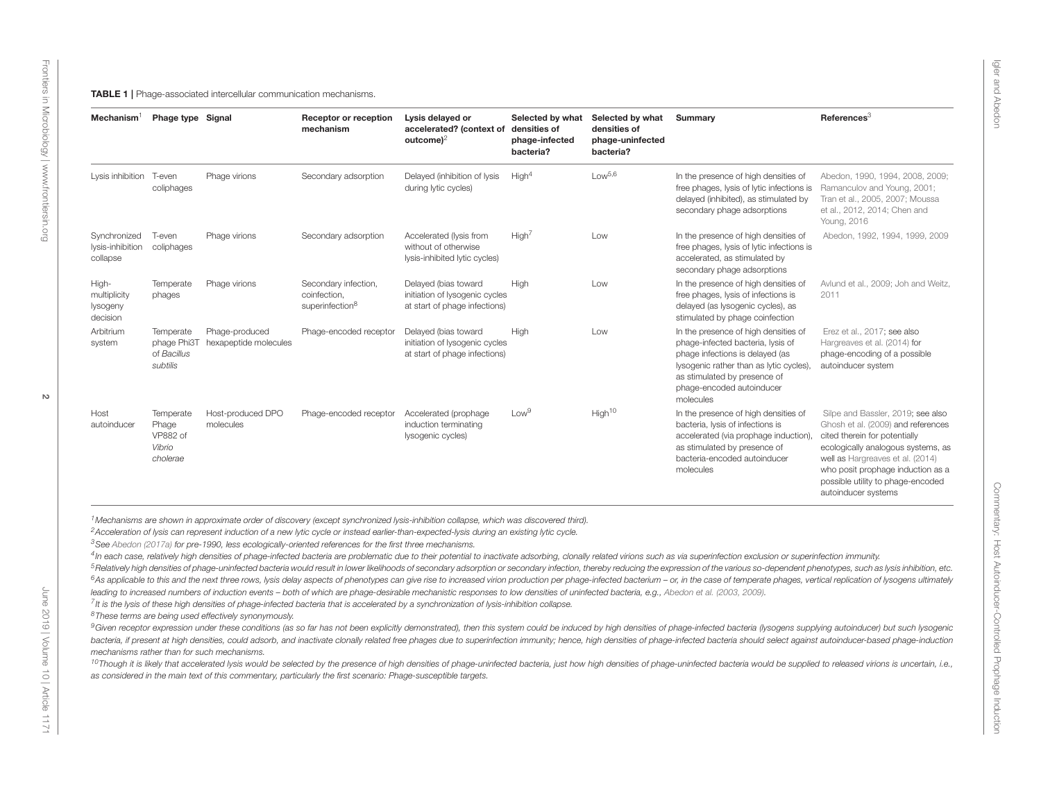<span id="page-1-0"></span>

| Secondary adsorption<br>Delayed (inhibition of lysis<br>during lytic cycles)                             | High <sup>4</sup>                                                                                                   |                                                                                                                                                                                                                                                                                              |                                                                                                                                                                                                                                   |                                                                                                                                                                                                                                                                                                                                                                                                                                                                          |
|----------------------------------------------------------------------------------------------------------|---------------------------------------------------------------------------------------------------------------------|----------------------------------------------------------------------------------------------------------------------------------------------------------------------------------------------------------------------------------------------------------------------------------------------|-----------------------------------------------------------------------------------------------------------------------------------------------------------------------------------------------------------------------------------|--------------------------------------------------------------------------------------------------------------------------------------------------------------------------------------------------------------------------------------------------------------------------------------------------------------------------------------------------------------------------------------------------------------------------------------------------------------------------|
|                                                                                                          |                                                                                                                     | Low <sup>5,6</sup>                                                                                                                                                                                                                                                                           | In the presence of high densities of<br>free phages, lysis of lytic infections is<br>delayed (inhibited), as stimulated by<br>secondary phage adsorptions                                                                         | Abedon, 1990, 1994, 2008, 2009;<br>Ramanculov and Young, 2001;<br>Tran et al., 2005, 2007; Moussa<br>et al., 2012, 2014; Chen and<br>Young, 2016                                                                                                                                                                                                                                                                                                                         |
| Secondary adsorption<br>Accelerated (lysis from<br>without of otherwise<br>lysis-inhibited lytic cycles) | High <sup>7</sup>                                                                                                   | Low                                                                                                                                                                                                                                                                                          | In the presence of high densities of<br>free phages, lysis of lytic infections is<br>accelerated, as stimulated by<br>secondary phage adsorptions                                                                                 | Abedon, 1992, 1994, 1999, 2009                                                                                                                                                                                                                                                                                                                                                                                                                                           |
| Secondary infection,<br>Delayed (bias toward<br>superinfection <sup>8</sup>                              | High                                                                                                                | Low                                                                                                                                                                                                                                                                                          | In the presence of high densities of<br>free phages, lysis of infections is<br>delayed (as lysogenic cycles), as<br>stimulated by phage coinfection                                                                               | Avlund et al., 2009; Joh and Weitz,<br>2011                                                                                                                                                                                                                                                                                                                                                                                                                              |
| Phage-encoded receptor<br>Delayed (bias toward                                                           | High                                                                                                                | Low                                                                                                                                                                                                                                                                                          | In the presence of high densities of<br>phage-infected bacteria, lysis of<br>phage infections is delayed (as<br>lysogenic rather than as lytic cycles),<br>as stimulated by presence of<br>phage-encoded autoinducer<br>molecules | Erez et al., 2017; see also<br>Hargreaves et al. (2014) for<br>phage-encoding of a possible<br>autoinducer system                                                                                                                                                                                                                                                                                                                                                        |
| Phage-encoded receptor<br>Accelerated (prophage<br>induction terminating<br>lysogenic cycles)            | Low <sup>9</sup>                                                                                                    |                                                                                                                                                                                                                                                                                              | In the presence of high densities of<br>bacteria, lysis of infections is<br>accelerated (via prophage induction),<br>as stimulated by presence of<br>bacteria-encoded autoinducer<br>molecules                                    | Silpe and Bassler, 2019; see also<br>Ghosh et al. (2009) and references<br>cited therein for potentially<br>ecologically analogous systems, as<br>well as Hargreaves et al. (2014)<br>who posit prophage induction as a<br>possible utility to phage-encoded<br>autoinducer systems                                                                                                                                                                                      |
|                                                                                                          | <sup>3</sup> See Abedon (2017a) for pre-1990, less ecologically-oriented references for the first three mechanisms. | initiation of lysogenic cycles<br>at start of phage infections)<br>initiation of lysogenic cycles<br>at start of phage infections)<br><sup>2</sup> Acceleration of lysis can represent induction of a new lytic cycle or instead earlier-than-expected-lysis during an existing lytic cycle. | High <sup>10</sup><br><sup>1</sup> Mechanisms are shown in approximate order of discovery (except synchronized lysis-inhibition collapse, which was discovered third).                                                            | 4In each case, relatively high densities of phage-infected bacteria are problematic due to their potential to inactivate adsorbing, clonally related virions such as via superinfection exclusion or superinfection immunity.<br><sup>5</sup> Relatively high densities of phage-uninfected bacteria would result in lower likelihoods of secondary adsorption or secondary infection, thereby reducing the expression of the various so-dependent phenotypes, such as l |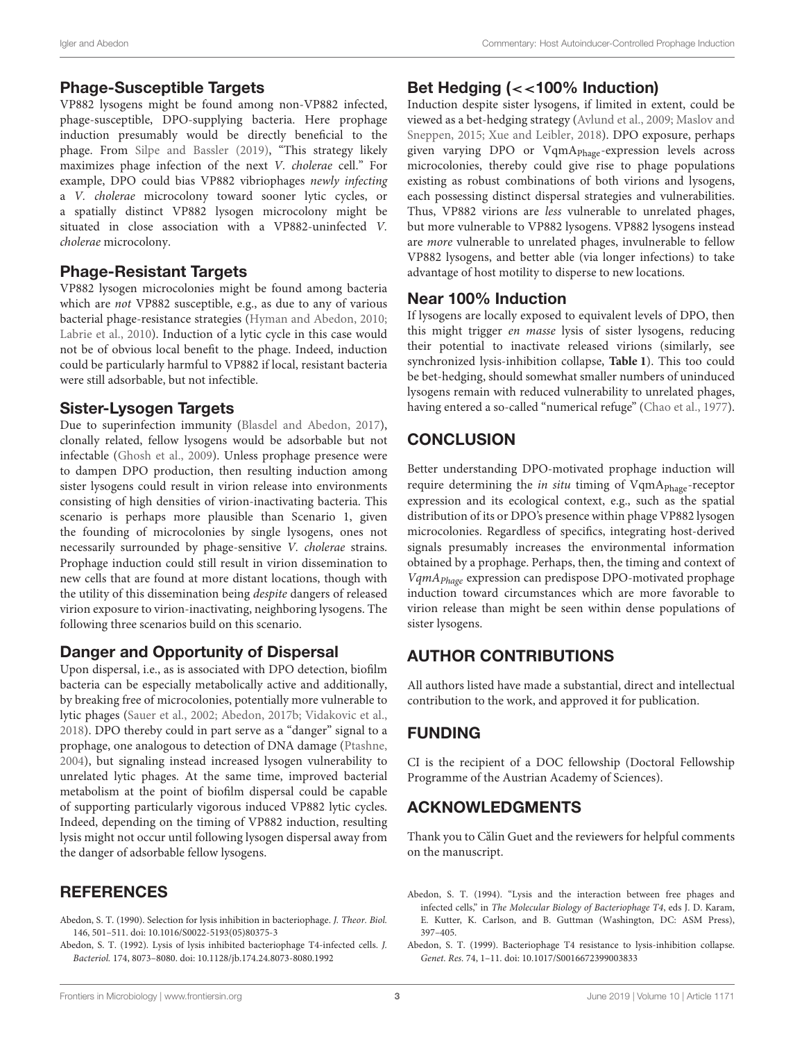#### <span id="page-2-2"></span><span id="page-2-0"></span>Phage-Susceptible Targets

VP882 lysogens might be found among non-VP882 infected, phage-susceptible, DPO-supplying bacteria. Here prophage induction presumably would be directly beneficial to the phage. From [Silpe and Bassler \(2019\)](#page-3-0), "This strategy likely maximizes phage infection of the next V. cholerae cell." For example, DPO could bias VP882 vibriophages newly infecting a V. cholerae microcolony toward sooner lytic cycles, or a spatially distinct VP882 lysogen microcolony might be situated in close association with a VP882-uninfected V. cholerae microcolony.

### Phage-Resistant Targets

VP882 lysogen microcolonies might be found among bacteria which are not VP882 susceptible, e.g., as due to any of various bacterial phage-resistance strategies [\(Hyman and Abedon, 2010;](#page-3-26) [Labrie et al., 2010\)](#page-3-27). Induction of a lytic cycle in this case would not be of obvious local benefit to the phage. Indeed, induction could be particularly harmful to VP882 if local, resistant bacteria were still adsorbable, but not infectible.

### <span id="page-2-3"></span><span id="page-2-1"></span>Sister-Lysogen Targets

Due to superinfection immunity [\(Blasdel and Abedon, 2017\)](#page-3-28), clonally related, fellow lysogens would be adsorbable but not infectable [\(Ghosh et al., 2009\)](#page-3-1). Unless prophage presence were to dampen DPO production, then resulting induction among sister lysogens could result in virion release into environments consisting of high densities of virion-inactivating bacteria. This scenario is perhaps more plausible than Scenario 1, given the founding of microcolonies by single lysogens, ones not necessarily surrounded by phage-sensitive V. cholerae strains. Prophage induction could still result in virion dissemination to new cells that are found at more distant locations, though with the utility of this dissemination being despite dangers of released virion exposure to virion-inactivating, neighboring lysogens. The following three scenarios build on this scenario.

### Danger and Opportunity of Dispersal

Upon dispersal, i.e., as is associated with DPO detection, biofilm bacteria can be especially metabolically active and additionally, by breaking free of microcolonies, potentially more vulnerable to lytic phages [\(Sauer et al., 2002;](#page-3-29) [Abedon, 2017b;](#page-3-30) [Vidakovic et al.,](#page-3-31) [2018\)](#page-3-31). DPO thereby could in part serve as a "danger" signal to a prophage, one analogous to detection of DNA damage [\(Ptashne,](#page-3-32) [2004\)](#page-3-32), but signaling instead increased lysogen vulnerability to unrelated lytic phages. At the same time, improved bacterial metabolism at the point of biofilm dispersal could be capable of supporting particularly vigorous induced VP882 lytic cycles. Indeed, depending on the timing of VP882 induction, resulting lysis might not occur until following lysogen dispersal away from the danger of adsorbable fellow lysogens.

# **REFERENCES**

- Abedon, S. T. (1990). Selection for lysis inhibition in bacteriophage. J. Theor. Biol. 146, 501–511. doi: [10.1016/S0022-5193\(05\)80375-3](https://doi.org/10.1016/S0022-5193(05)80375-3)
- Abedon, S. T. (1992). Lysis of lysis inhibited bacteriophage T4-infected cells. J. Bacteriol. 174, 8073–8080. doi: [10.1128/jb.174.24.8073-8080.1992](https://doi.org/10.1128/jb.174.24.8073-8080.1992)

### Bet Hedging (<<100% Induction)

Induction despite sister lysogens, if limited in extent, could be viewed as a bet-hedging strategy [\(Avlund et al., 2009;](#page-3-33) Maslov and Sneppen, [2015;](#page-3-34) [Xue and Leibler, 2018\)](#page-3-35). DPO exposure, perhaps given varying DPO or VqmA<sub>Phage</sub>-expression levels across microcolonies, thereby could give rise to phage populations existing as robust combinations of both virions and lysogens, each possessing distinct dispersal strategies and vulnerabilities. Thus, VP882 virions are less vulnerable to unrelated phages, but more vulnerable to VP882 lysogens. VP882 lysogens instead are more vulnerable to unrelated phages, invulnerable to fellow VP882 lysogens, and better able (via longer infections) to take advantage of host motility to disperse to new locations.

#### Near 100% Induction

If lysogens are locally exposed to equivalent levels of DPO, then this might trigger en masse lysis of sister lysogens, reducing their potential to inactivate released virions (similarly, see synchronized lysis-inhibition collapse, **[Table 1](#page-1-0)**). This too could be bet-hedging, should somewhat smaller numbers of uninduced lysogens remain with reduced vulnerability to unrelated phages, having entered a so-called "numerical refuge" [\(Chao et al., 1977\)](#page-3-36).

# **CONCLUSION**

Better understanding DPO-motivated prophage induction will require determining the in situ timing of VqmA<sub>Phage</sub>-receptor expression and its ecological context, e.g., such as the spatial distribution of its or DPO's presence within phage VP882 lysogen microcolonies. Regardless of specifics, integrating host-derived signals presumably increases the environmental information obtained by a prophage. Perhaps, then, the timing and context of VqmAPhage expression can predispose DPO-motivated prophage induction toward circumstances which are more favorable to virion release than might be seen within dense populations of sister lysogens.

### AUTHOR CONTRIBUTIONS

All authors listed have made a substantial, direct and intellectual contribution to the work, and approved it for publication.

# FUNDING

CI is the recipient of a DOC fellowship (Doctoral Fellowship Programme of the Austrian Academy of Sciences).

# ACKNOWLEDGMENTS

Thank you to Călin Guet and the reviewers for helpful comments on the manuscript.

- Abedon, S. T. (1994). "Lysis and the interaction between free phages and infected cells," in The Molecular Biology of Bacteriophage T4, eds J. D. Karam, E. Kutter, K. Carlson, and B. Guttman (Washington, DC: ASM Press), 397–405.
- Abedon, S. T. (1999). Bacteriophage T4 resistance to lysis-inhibition collapse. Genet. Res. 74, 1–11. doi: [10.1017/S0016672399003833](https://doi.org/10.1017/S0016672399003833)